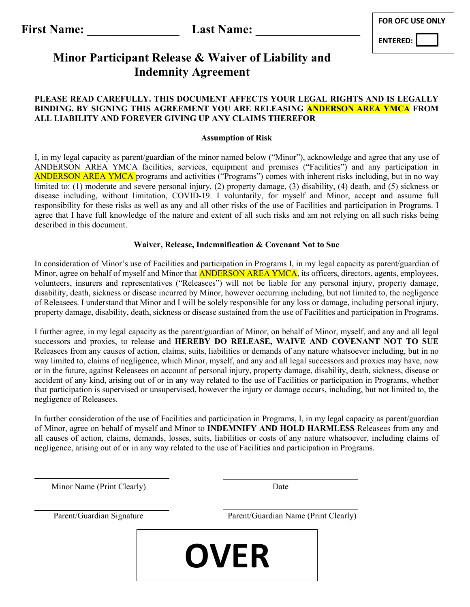| <b>FOR OFC USE ONLY</b> |
|-------------------------|
|-------------------------|

**ENTERED:** 

### **Minor Participant Release & Waiver of Liability and Indemnity Agreement**

#### **PLEASE READ CAREFULLY. THIS DOCUMENT AFFECTS YOUR LEGAL RIGHTS AND IS LEGALLY BINDING. BY SIGNING THIS AGREEMENT YOU ARE RELEASING ANDERSON AREA YMCA FROM ALL LIABILITY AND FOREVER GIVING UP ANY CLAIMS THEREFOR**

#### **Assumption of Risk**

I, in my legal capacity as parent/guardian of the minor named below ("Minor"), acknowledge and agree that any use of ANDERSON AREA YMCA facilities, services, equipment and premises ("Facilities") and any participation in ANDERSON AREA YMCA programs and activities ("Programs") comes with inherent risks including, but in no way limited to: (1) moderate and severe personal injury, (2) property damage, (3) disability, (4) death, and (5) sickness or disease including, without limitation, COVID-19. I voluntarily, for myself and Minor, accept and assume full responsibility for these risks as well as any and all other risks of the use of Facilities and participation in Programs. I agree that I have full knowledge of the nature and extent of all such risks and am not relying on all such risks being described in this document.

#### **Waiver, Release, Indemnification & Covenant Not to Sue**

In consideration of Minor's use of Facilities and participation in Programs I, in my legal capacity as parent/guardian of Minor, agree on behalf of myself and Minor that **ANDERSON AREA YMCA**, its officers, directors, agents, employees, volunteers, insurers and representatives ("Releasees") will not be liable for any personal injury, property damage, disability, death, sickness or disease incurred by Minor, however occurring including, but not limited to, the negligence of Releasees. I understand that Minor and I will be solely responsible for any loss or damage, including personal injury, property damage, disability, death, sickness or disease sustained from the use of Facilities and participation in Programs.

I further agree, in my legal capacity as the parent/guardian of Minor, on behalf of Minor, myself, and any and all legal successors and proxies, to release and **HEREBY DO RELEASE, WAIVE AND COVENANT NOT TO SUE** Releasees from any causes of action, claims, suits, liabilities or demands of any nature whatsoever including, but in no way limited to, claims of negligence, which Minor, myself, and any and all legal successors and proxies may have, now or in the future, against Releasees on account of personal injury, property damage, disability, death, sickness, disease or accident of any kind, arising out of or in any way related to the use of Facilities or participation in Programs, whether that participation is supervised or unsupervised, however the injury or damage occurs, including, but not limited to, the negligence of Releasees.

In further consideration of the use of Facilities and participation in Programs, I, in my legal capacity as parent/guardian of Minor, agree on behalf of myself and Minor to **INDEMNIFY AND HOLD HARMLESS** Releasees from any and all causes of action, claims, demands, losses, suits, liabilities or costs of any nature whatsoever, including claims of negligence, arising out of or in any way related to the use of Facilities and participation in Programs.

Minor Name (Print Clearly) Date

Parent/Guardian Signature Parent/Guardian Name (Print Clearly)